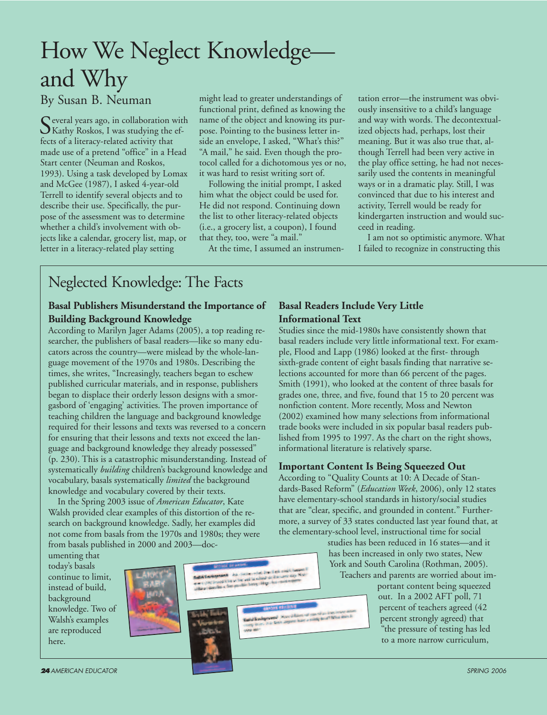# How We Neglect Knowledge and Why

By Susan B. Neuman

Several years ago, in collaboration with<br>Kathy Roskos, I was studying the effects of a literacy-related activity that made use of a pretend "office" in a Head Start center (Neuman and Roskos, 1993). Using a task developed by Lomax and McGee (1987), I asked 4-year-old Terrell to identify several objects and to describe their use. Specifically, the purpose of the assessment was to determine whether a child's involvement with objects like a calendar, grocery list, map, or letter in a literacy-related play setting

might lead to greater understandings of functional print, defined as knowing the name of the object and knowing its purpose. Pointing to the business letter inside an envelope, I asked, "What's this?" "A mail," he said. Even though the protocol called for a dichotomous yes or no, it was hard to resist writing sort of.

Following the initial prompt, I asked him what the object could be used for. He did not respond. Continuing down the list to other literacy-related objects (i.e., a grocery list, a coupon), I found that they, too, were "a mail."

At the time, I assumed an instrumen-

tation error—the instrument was obviously insensitive to a child's language and way with words. The decontextualized objects had, perhaps, lost their meaning. But it was also true that, although Terrell had been very active in the play office setting, he had not necessarily used the contents in meaningful ways or in a dramatic play. Still, I was convinced that due to his interest and activity, Terrell would be ready for kindergarten instruction and would succeed in reading.

I am not so optimistic anymore. What I failed to recognize in constructing this

# Neglected Knowledge: The Facts

# **Basal Publishers Misunderstand the Importance of Building Background Knowledge**

According to Marilyn Jager Adams (2005), a top reading researcher, the publishers of basal readers—like so many educators across the country—were mislead by the whole-language movement of the 1970s and 1980s. Describing the times, she writes, "Increasingly, teachers began to eschew published curricular materials, and in response, publishers began to displace their orderly lesson designs with a smorgasbord of 'engaging' activities. The proven importance of teaching children the language and background knowledge required for their lessons and texts was reversed to a concern for ensuring that their lessons and texts not exceed the language and background knowledge they already possessed" (p. 230). This is a catastrophic misunderstanding. Instead of systematically *building* children's background knowledge and vocabulary, basals systematically *limited* the background knowledge and vocabulary covered by their texts.

In the Spring 2003 issue of *American Educator*, Kate Walsh provided clear examples of this distortion of the research on background knowledge. Sadly, her examples did not come from basals from the 1970s and 1980s; they were from basals published in 2000 and 2003—doc-

umenting that today's basals continue to limit, instead of build, background knowledge. Two of Walsh's examples are reproduced here.



### **Basal Readers Include Very Little Informational Text**

Studies since the mid-1980s have consistently shown that basal readers include very little informational text. For example, Flood and Lapp (1986) looked at the first- through sixth-grade content of eight basals finding that narrative selections accounted for more than 66 percent of the pages. Smith (1991), who looked at the content of three basals for grades one, three, and five, found that 15 to 20 percent was nonfiction content. More recently, Moss and Newton (2002) examined how many selections from informational trade books were included in six popular basal readers published from 1995 to 1997. As the chart on the right shows, informational literature is relatively sparse.

# **Important Content Is Being Squeezed Out**

According to "Quality Counts at 10: A Decade of Standards-Based Reform" (*Education Week*, 2006), only 12 states have elementary-school standards in history/social studies that are "clear, specific, and grounded in content." Furthermore, a survey of 33 states conducted last year found that, at the elementary-school level, instructional time for social

studies has been reduced in 16 states—and it has been increased in only two states, New York and South Carolina (Rothman, 2005).

Teachers and parents are worried about important content being squeezed

out. In a 2002 AFT poll, 71 percent of teachers agreed (42 percent strongly agreed) that "the pressure of testing has led to a more narrow curriculum,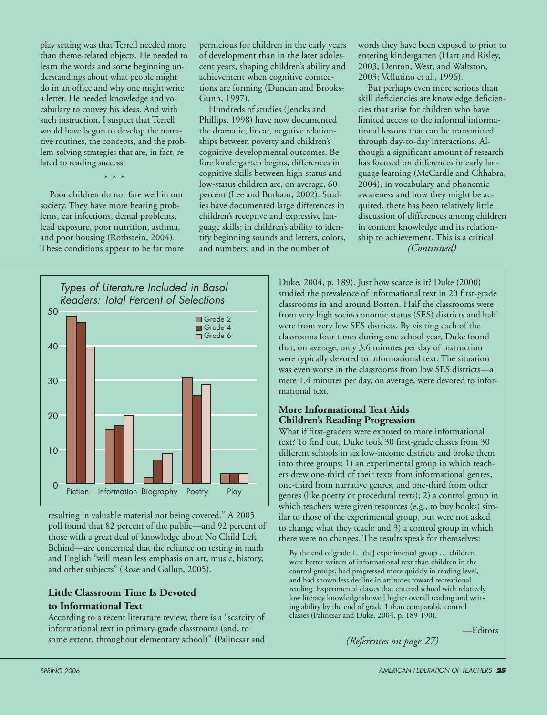play setting was that Terrell needed more than theme-related objects. He needed to learn the words and some beginning understandings about what people might do in an office and why one might write a letter. He needed knowledge and vocabulary to convey his ideas. And with such instruction, I suspect that Terrell would have begun to develop the narrative routines, the concepts, and the problem-solving strategies that are, in fact, related to reading success.

\* \* \*

Poor children do not fare well in our society. They have more hearing problems, ear infections, dental problems, lead exposure, poor nutrition, asthma, and poor housing (Rothstein, 2004). These conditions appear to be far more pernicious for children in the early years of development than in the later adolescent years, shaping children's ability and achievement when cognitive connections are forming (Duncan and Brooks-Gunn, 1997).

Hundreds of studies (Jencks and Phillips, 1998) have now documented the dramatic, linear, negative relationships between poverty and children's cognitive-developmental outcomes. Before kindergarten begins, differences in cognitive skills between high-status and low-status children are, on average, 60 percent (Lee and Burkam, 2002). Studies have documented large differences in children's receptive and expressive language skills; in children's ability to identify beginning sounds and letters, colors, and numbers; and in the number of

words they have been exposed to prior to entering kindergarten (Hart and Risley, 2003; Denton, West, and Waltston, 2003; Vellutino et al., 1996).

But perhaps even more serious than skill deficiencies are knowledge deficiencies that arise for children who have limited access to the informal informational lessons that can be transmitted through day-to-day interactions. Although a significant amount of research has focused on differences in early language learning (McCardle and Chhabra, 2004), in vocabulary and phonemic awareness and how they might be acquired, there has been relatively little discussion of differences among children in content knowledge and its relationship to achievement. This is a critical *(Continued)*



resulting in valuable material not being covered." A 2005 poll found that 82 percent of the public—and 92 percent of those with a great deal of knowledge about No Child Left Behind—are concerned that the reliance on testing in math and English "will mean less emphasis on art, music, history, and other subjects" (Rose and Gallup, 2005).

# **Little Classroom Time Is Devoted to Informational Text**

According to a recent literature review, there is a "scarcity of informational text in primary-grade classrooms (and, to some extent, throughout elementary school)" (Palincsar and Duke, 2004, p. 189). Just how scarce is it? Duke (2000) studied the prevalence of informational text in 20 first-grade classrooms in and around Boston. Half the classrooms were from very high socioeconomic status (SES) districts and half were from very low SES districts. By visiting each of the classrooms four times during one school year, Duke found that, on average, only 3.6 minutes per day of instruction were typically devoted to informational text. The situation was even worse in the classrooms from low SES districts—a mere 1.4 minutes per day, on average, were devoted to informational text.

#### **More Informational Text Aids Children's Reading Progression**

What if first-graders were exposed to more informational text? To find out, Duke took 30 first-grade classes from 30 different schools in six low-income districts and broke them into three groups: 1) an experimental group in which teachers drew one-third of their texts from informational genres, one-third from narrative genres, and one-third from other genres (like poetry or procedural texts); 2) a control group in which teachers were given resources (e.g., to buy books) similar to those of the experimental group, but were not asked to change what they teach; and 3) a control group in which there were no changes. The results speak for themselves:

By the end of grade 1, [the] experimental group … children were better writers of informational text than children in the control groups, had progressed more quickly in reading level, and had shown less decline in attitudes toward recreational reading. Experimental classes that entered school with relatively low literacy knowledge showed higher overall reading and writing ability by the end of grade 1 than comparable control classes (Palincsar and Duke, 2004, p. 189-190).

—Editors

*(References on page 27)*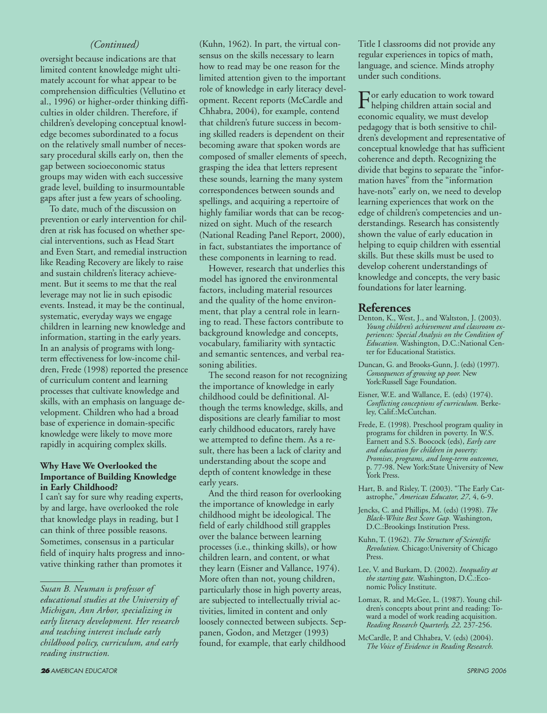#### *(Continued)*

oversight because indications are that limited content knowledge might ultimately account for what appear to be comprehension difficulties (Vellutino et al., 1996) or higher-order thinking difficulties in older children. Therefore, if children's developing conceptual knowledge becomes subordinated to a focus on the relatively small number of necessary procedural skills early on, then the gap between socioeconomic status groups may widen with each successive grade level, building to insurmountable gaps after just a few years of schooling.

To date, much of the discussion on prevention or early intervention for children at risk has focused on whether special interventions, such as Head Start and Even Start, and remedial instruction like Reading Recovery are likely to raise and sustain children's literacy achievement. But it seems to me that the real leverage may not lie in such episodic events. Instead, it may be the continual, systematic, everyday ways we engage children in learning new knowledge and information, starting in the early years. In an analysis of programs with longterm effectiveness for low-income children, Frede (1998) reported the presence of curriculum content and learning processes that cultivate knowledge and skills, with an emphasis on language development. Children who had a broad base of experience in domain-specific knowledge were likely to move more rapidly in acquiring complex skills.

#### **Why Have We Overlooked the Importance of Building Knowledge in Early Childhood?**

I can't say for sure why reading experts, by and large, have overlooked the role that knowledge plays in reading, but I can think of three possible reasons. Sometimes, consensus in a particular field of inquiry halts progress and innovative thinking rather than promotes it

(Kuhn, 1962). In part, the virtual consensus on the skills necessary to learn how to read may be one reason for the limited attention given to the important role of knowledge in early literacy development. Recent reports (McCardle and Chhabra, 2004), for example, contend that children's future success in becoming skilled readers is dependent on their becoming aware that spoken words are composed of smaller elements of speech, grasping the idea that letters represent these sounds, learning the many system correspondences between sounds and spellings, and acquiring a repertoire of highly familiar words that can be recognized on sight. Much of the research (National Reading Panel Report, 2000), in fact, substantiates the importance of these components in learning to read.

However, research that underlies this model has ignored the environmental factors, including material resources and the quality of the home environment, that play a central role in learning to read. These factors contribute to background knowledge and concepts, vocabulary, familiarity with syntactic and semantic sentences, and verbal reasoning abilities.

The second reason for not recognizing the importance of knowledge in early childhood could be definitional. Although the terms knowledge, skills, and dispositions are clearly familiar to most early childhood educators, rarely have we attempted to define them. As a result, there has been a lack of clarity and understanding about the scope and depth of content knowledge in these early years.

And the third reason for overlooking the importance of knowledge in early childhood might be ideological. The field of early childhood still grapples over the balance between learning processes (i.e., thinking skills), or how children learn, and content, or what they learn (Eisner and Vallance, 1974). More often than not, young children, particularly those in high poverty areas, are subjected to intellectually trivial activities, limited in content and only loosely connected between subjects. Seppanen, Godon, and Metzger (1993) found, for example, that early childhood

Title I classrooms did not provide any regular experiences in topics of math, language, and science. Minds atrophy under such conditions.

For early education to work toward helping children attain social and economic equality, we must develop pedagogy that is both sensitive to children's development and representative of conceptual knowledge that has sufficient coherence and depth. Recognizing the divide that begins to separate the "information haves" from the "information have-nots" early on, we need to develop learning experiences that work on the edge of children's competencies and understandings. Research has consistently shown the value of early education in helping to equip children with essential skills. But these skills must be used to develop coherent understandings of knowledge and concepts, the very basic foundations for later learning.

#### **References**

- Denton, K., West, J., and Waltston, J. (2003). *Young children's achievement and classroom experiences: Special Analysis on the Condition of Education*. Washington, D.C.:National Center for Educational Statistics.
- Duncan, G. and Brooks-Gunn, J. (eds) (1997). *Consequences of growing up poor.* New York: Russell Sage Foundation.
- Eisner, W.E. and Wallance, E. (eds) (1974). *Conflicting conceptions of curriculum.* Berkeley, Calif.:McCutchan.
- Frede, E. (1998). Preschool program quality in programs for children in poverty. In W.S. Earnett and S.S. Boocock (eds), *Early care and education for children in poverty: Promises, programs, and long-term outcomes,* p. 77-98. New York:State University of New York Press.
- Hart, B. and Risley, T. (2003). "The Early Catastrophe," *American Educator, 27,* 4, 6-9.
- Jencks, C. and Phillips, M. (eds) (1998). *The Black-White Best Score Gap.* Washington, D.C.:Brookings Institution Press.
- Kuhn, T. (1962). *The Structure of Scientific Revolution.* Chicago:University of Chicago Press.
- Lee, V. and Burkam, D. (2002). *Inequality at the starting gate.* Washington, D.C.:Economic Policy Institute.
- Lomax, R. and McGee, L. (1987). Young children's concepts about print and reading: Toward a model of work reading acquisition. *Reading Research Quarterly, 22,* 237-256.
- McCardle, P. and Chhabra, V. (eds) (2004). *The Voice of Evidence in Reading Research.*

*Susan B. Neuman is professor of educational studies at the University of Michigan, Ann Arbor, specializing in early literacy development. Her research and teaching interest include early childhood policy, curriculum, and early reading instruction.*